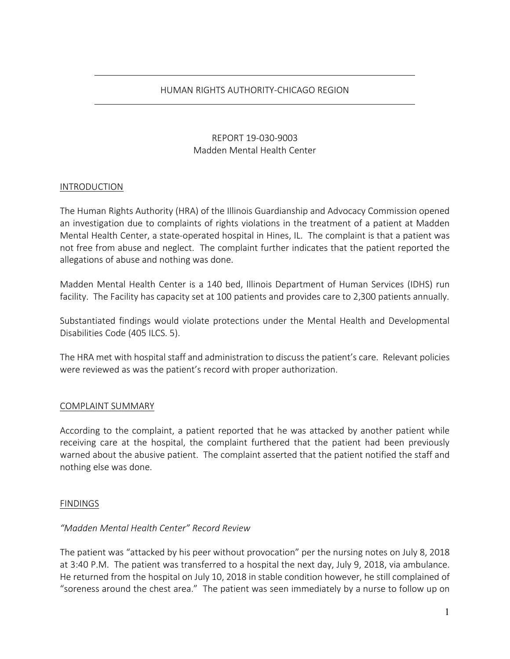### HUMAN RIGHTS AUTHORITY-CHICAGO REGION

# REPORT 19-030-9003 Madden Mental Health Center

### INTRODUCTION

The Human Rights Authority (HRA) of the Illinois Guardianship and Advocacy Commission opened an investigation due to complaints of rights violations in the treatment of a patient at Madden Mental Health Center, a state-operated hospital in Hines, IL. The complaint is that a patient was not free from abuse and neglect. The complaint further indicates that the patient reported the allegations of abuse and nothing was done.

Madden Mental Health Center is a 140 bed, Illinois Department of Human Services (IDHS) run facility. The Facility has capacity set at 100 patients and provides care to 2,300 patients annually.

Substantiated findings would violate protections under the Mental Health and Developmental Disabilities Code (405 ILCS. 5).

The HRA met with hospital staff and administration to discuss the patient's care. Relevant policies were reviewed as was the patient's record with proper authorization.

#### COMPLAINT SUMMARY

According to the complaint, a patient reported that he was attacked by another patient while receiving care at the hospital, the complaint furthered that the patient had been previously warned about the abusive patient. The complaint asserted that the patient notified the staff and nothing else was done.

#### FINDINGS

### *"Madden Mental Health Center" Record Review*

The patient was "attacked by his peer without provocation" per the nursing notes on July 8, 2018 at 3:40 P.M. The patient was transferred to a hospital the next day, July 9, 2018, via ambulance. He returned from the hospital on July 10, 2018 in stable condition however, he still complained of "soreness around the chest area." The patient was seen immediately by a nurse to follow up on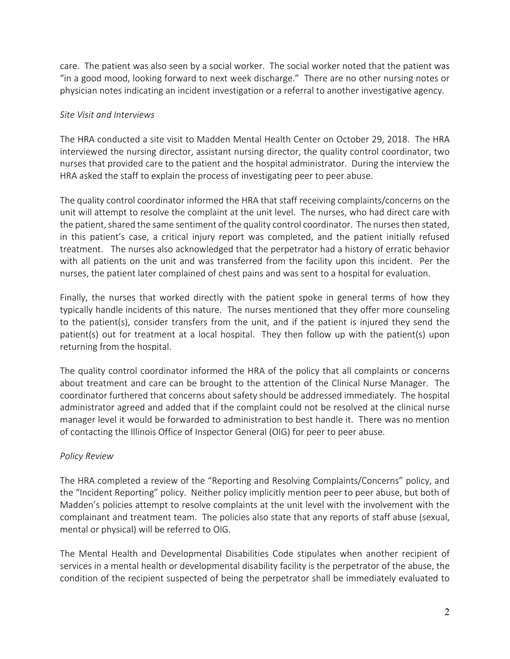care. The patient was also seen by a social worker. The social worker noted that the patient was "in a good mood, looking forward to next week discharge." There are no other nursing notes or physician notes indicating an incident investigation or a referral to another investigative agency.

# *Site Visit and Interviews*

The HRA conducted a site visit to Madden Mental Health Center on October 29, 2018. The HRA interviewed the nursing director, assistant nursing director, the quality control coordinator, two nurses that provided care to the patient and the hospital administrator. During the interview the HRA asked the staff to explain the process of investigating peer to peer abuse.

The quality control coordinator informed the HRA that staff receiving complaints/concerns on the unit will attempt to resolve the complaint at the unit level. The nurses, who had direct care with the patient, shared the same sentiment of the quality control coordinator. The nurses then stated, in this patient's case, a critical injury report was completed, and the patient initially refused treatment. The nurses also acknowledged that the perpetrator had a history of erratic behavior with all patients on the unit and was transferred from the facility upon this incident. Per the nurses, the patient later complained of chest pains and was sent to a hospital for evaluation.

Finally, the nurses that worked directly with the patient spoke in general terms of how they typically handle incidents of this nature. The nurses mentioned that they offer more counseling to the patient(s), consider transfers from the unit, and if the patient is injured they send the patient(s) out for treatment at a local hospital. They then follow up with the patient(s) upon returning from the hospital.

The quality control coordinator informed the HRA of the policy that all complaints or concerns about treatment and care can be brought to the attention of the Clinical Nurse Manager. The coordinator furthered that concerns about safety should be addressed immediately. The hospital administrator agreed and added that if the complaint could not be resolved at the clinical nurse manager level it would be forwarded to administration to best handle it. There was no mention of contacting the Illinois Office of Inspector General (OIG) for peer to peer abuse.

## *Policy Review*

The HRA completed a review of the "Reporting and Resolving Complaints/Concerns" policy, and the "Incident Reporting" policy. Neither policy implicitly mention peer to peer abuse, but both of Madden's policies attempt to resolve complaints at the unit level with the involvement with the complainant and treatment team. The policies also state that any reports of staff abuse (sexual, mental or physical) will be referred to OIG.

The Mental Health and Developmental Disabilities Code stipulates when another recipient of services in a mental health or developmental disability facility is the perpetrator of the abuse, the condition of the recipient suspected of being the perpetrator shall be immediately evaluated to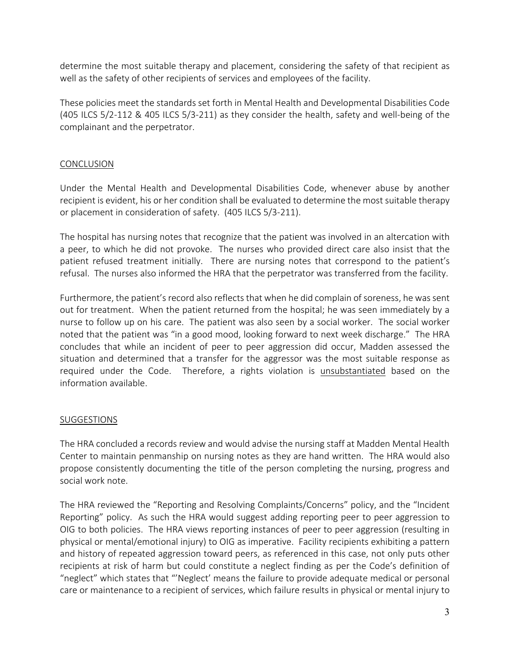determine the most suitable therapy and placement, considering the safety of that recipient as well as the safety of other recipients of services and employees of the facility.

These policies meet the standards set forth in Mental Health and Developmental Disabilities Code (405 ILCS 5/2-112 & 405 ILCS 5/3-211) as they consider the health, safety and well-being of the complainant and the perpetrator.

## **CONCLUSION**

Under the Mental Health and Developmental Disabilities Code, whenever abuse by another recipient is evident, his or her condition shall be evaluated to determine the most suitable therapy or placement in consideration of safety. (405 ILCS 5/3-211).

The hospital has nursing notes that recognize that the patient was involved in an altercation with a peer, to which he did not provoke. The nurses who provided direct care also insist that the patient refused treatment initially. There are nursing notes that correspond to the patient's refusal. The nurses also informed the HRA that the perpetrator was transferred from the facility.

Furthermore, the patient's record also reflects that when he did complain of soreness, he was sent out for treatment. When the patient returned from the hospital; he was seen immediately by a nurse to follow up on his care. The patient was also seen by a social worker. The social worker noted that the patient was "in a good mood, looking forward to next week discharge." The HRA concludes that while an incident of peer to peer aggression did occur, Madden assessed the situation and determined that a transfer for the aggressor was the most suitable response as required under the Code. Therefore, a rights violation is unsubstantiated based on the information available.

## SUGGESTIONS

The HRA concluded a records review and would advise the nursing staff at Madden Mental Health Center to maintain penmanship on nursing notes as they are hand written. The HRA would also propose consistently documenting the title of the person completing the nursing, progress and social work note.

The HRA reviewed the "Reporting and Resolving Complaints/Concerns" policy, and the "Incident Reporting" policy. As such the HRA would suggest adding reporting peer to peer aggression to OIG to both policies. The HRA views reporting instances of peer to peer aggression (resulting in physical or mental/emotional injury) to OIG as imperative. Facility recipients exhibiting a pattern and history of repeated aggression toward peers, as referenced in this case, not only puts other recipients at risk of harm but could constitute a neglect finding as per the Code's definition of "neglect" which states that "'Neglect' means the failure to provide adequate medical or personal care or maintenance to a recipient of services, which failure results in physical or mental injury to